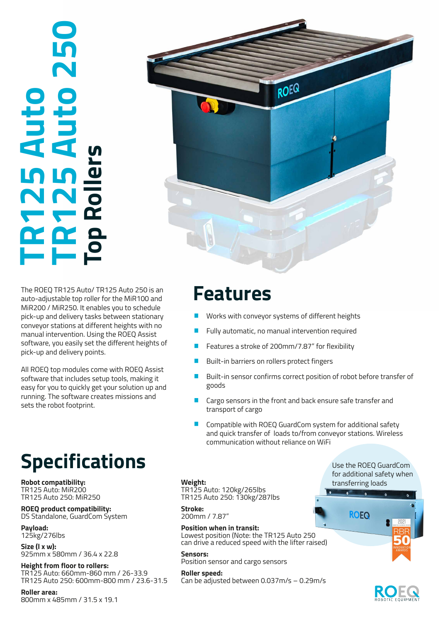# **TR125 Auto 250 TR125 Auto**  <u>o</u><br>Str **Top Rollers**



The ROEQ TR125 Auto/ TR125 Auto 250 is an **Features** auto-adjustable top roller for the MiR100 and MiR200 / MiR250. It enables you to schedule pick-up and delivery tasks between stationary conveyor stations at different heights with no manual intervention. Using the ROEQ Assist software, you easily set the different heights of pick-up and delivery points.

All ROEQ top modules come with ROEQ Assist software that includes setup tools, making it easy for you to quickly get your solution up and running. The software creates missions and sets the robot footprint.

## **Specifications**

**Robot compatibility:** TR125 Auto: MiR200 TR125 Auto 250: MiR250

**ROEQ product compatibility:**  DS Standalone, GuardCom System

**Payload:** 125kg/276lbs

**Size (l x w):**  925mm x 580mm / 36.4 x 22.8

**Height from floor to rollers:** TR125 Auto: 660mm-860 mm / 26-33.9 TR125 Auto 250: 600mm-800 mm / 23.6-31.5

**Roller area:**  800mm x 485mm / 31.5 x 19.1

- Works with conveyor systems of different heights
- Fully automatic, no manual intervention required
- Features a stroke of 200mm/7.87" for flexibility
- Built-in barriers on rollers protect fingers
- Built-in sensor confirms correct position of robot before transfer of goods
- Cargo sensors in the front and back ensure safe transfer and transport of cargo
- Compatible with ROEQ GuardCom system for additional safety and quick transfer of loads to/from conveyor stations. Wireless communication without reliance on WiFi

### **Weight:**

TR125 Auto: 120kg/265lbs TR125 Auto 250: 130kg/287lbs

**Stroke:** 200mm / 7.87"

**Position when in transit:**  Lowest position (Note: the TR125 Auto 250 can drive a reduced speed with the lifter raised)

**Sensors:** Position sensor and cargo sensors

**Roller speed:**  Can be adjusted between 0.037m/s – 0.29m/s Use the ROEQ GuardCom for additional safety when transferring loads

**ROEQ**